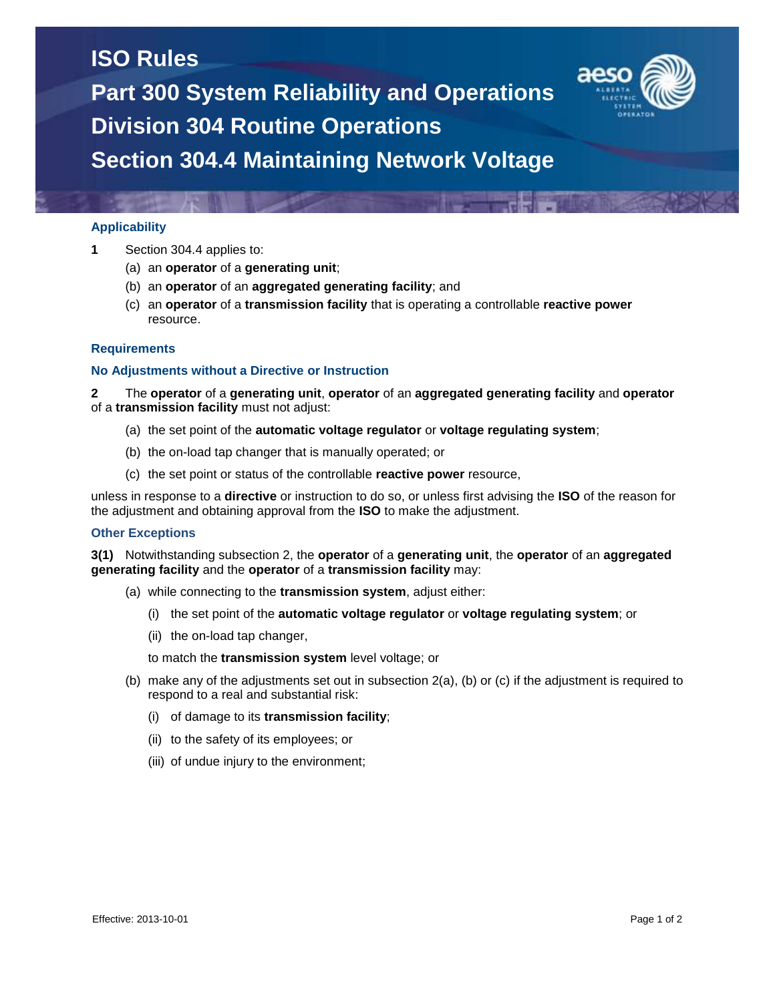## **ISO Rules**

**Part 300 System Reliability and Operations Division 304 Routine Operations Section 304.4 Maintaining Network Voltage**

## **Applicability**

- **1** Section 304.4 applies to:
	- (a) an **operator** of a **generating unit**;
	- (b) an **operator** of an **aggregated generating facility**; and
	- (c) an **operator** of a **transmission facility** that is operating a controllable **reactive power** resource.

### **Requirements**

#### **No Adjustments without a Directive or Instruction**

**2** The **operator** of a **generating unit**, **operator** of an **aggregated generating facility** and **operator** of a **transmission facility** must not adjust:

- (a) the set point of the **automatic voltage regulator** or **voltage regulating system**;
- (b) the on-load tap changer that is manually operated; or
- (c) the set point or status of the controllable **reactive power** resource,

unless in response to a **directive** or instruction to do so, or unless first advising the **ISO** of the reason for the adjustment and obtaining approval from the **ISO** to make the adjustment.

#### **Other Exceptions**

**3(1)** Notwithstanding subsection 2, the **operator** of a **generating unit**, the **operator** of an **aggregated generating facility** and the **operator** of a **transmission facility** may:

- (a) while connecting to the **transmission system**, adjust either:
	- (i) the set point of the **automatic voltage regulator** or **voltage regulating system**; or
	- (ii) the on-load tap changer,

to match the **transmission system** level voltage; or

- (b) make any of the adjustments set out in subsection 2(a), (b) or (c) if the adjustment is required to respond to a real and substantial risk:
	- (i) of damage to its **transmission facility**;
	- (ii) to the safety of its employees; or
	- (iii) of undue injury to the environment;